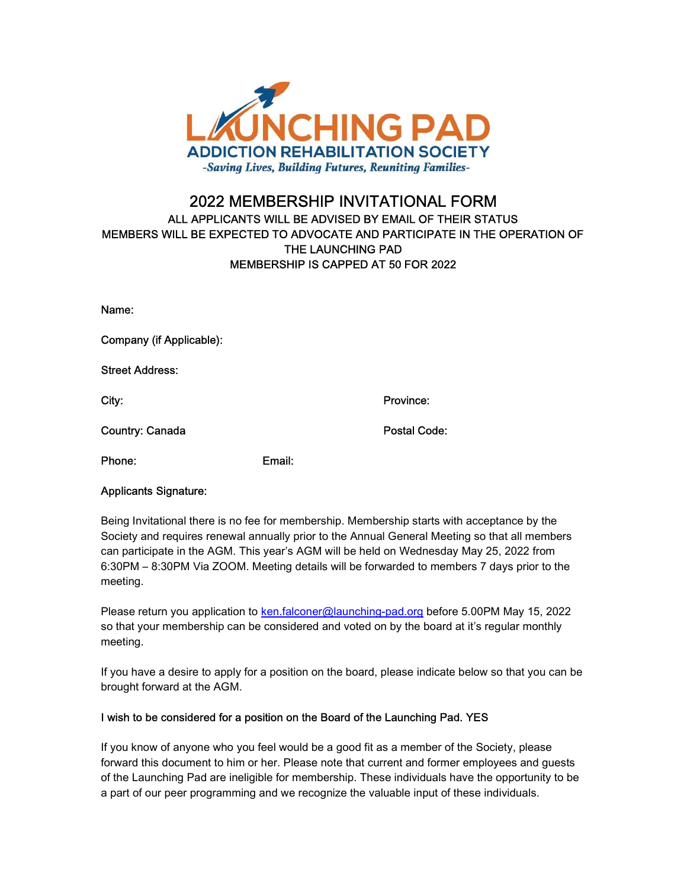

## 2022 MEMBERSHIP INVITATIONAL FORM ALL APPLICANTS WILL BE ADVISED BY EMAIL OF THEIR STATUS MEMBERS WILL BE EXPECTED TO ADVOCATE AND PARTICIPATE IN THE OPERATION OF THE LAUNCHING PAD MEMBERSHIP IS CAPPED AT 50 FOR 2022

| Name:                    |        |              |
|--------------------------|--------|--------------|
| Company (if Applicable): |        |              |
| <b>Street Address:</b>   |        |              |
| City:                    |        | Province:    |
| <b>Country: Canada</b>   |        | Postal Code: |
| Phone:                   | Email: |              |

## Applicants Signature:

Being Invitational there is no fee for membership. Membership starts with acceptance by the Society and requires renewal annually prior to the Annual General Meeting so that all members can participate in the AGM. This year's AGM will be held on Wednesday May 25, 2022 from 6:30PM – 8:30PM Via ZOOM. Meeting details will be forwarded to members 7 days prior to the meeting.

Please return you application to ken.falconer@launching-pad.org before 5.00PM May 15, 2022 so that your membership can be considered and voted on by the board at it's regular monthly meeting.

If you have a desire to apply for a position on the board, please indicate below so that you can be brought forward at the AGM.

## I wish to be considered for a position on the Board of the Launching Pad. YES

If you know of anyone who you feel would be a good fit as a member of the Society, please forward this document to him or her. Please note that current and former employees and guests of the Launching Pad are ineligible for membership. These individuals have the opportunity to be a part of our peer programming and we recognize the valuable input of these individuals.